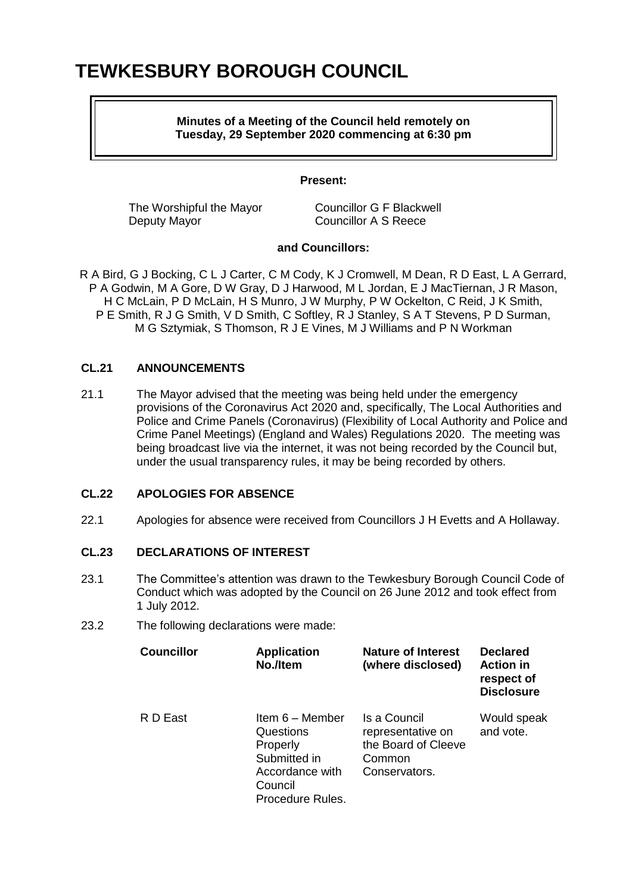# **TEWKESBURY BOROUGH COUNCIL**

## **Minutes of a Meeting of the Council held remotely on Tuesday, 29 September 2020 commencing at 6:30 pm**

## **Present:**

The Worshipful the Mayor Councillor G F Blackwell Deputy Mayor Councillor A S Reece

# **and Councillors:**

R A Bird, G J Bocking, C L J Carter, C M Cody, K J Cromwell, M Dean, R D East, L A Gerrard, P A Godwin, M A Gore, D W Gray, D J Harwood, M L Jordan, E J MacTiernan, J R Mason, H C McLain, P D McLain, H S Munro, J W Murphy, P W Ockelton, C Reid, J K Smith, P E Smith, R J G Smith, V D Smith, C Softley, R J Stanley, S A T Stevens, P D Surman, M G Sztymiak, S Thomson, R J E Vines, M J Williams and P N Workman

# **CL.21 ANNOUNCEMENTS**

21.1 The Mayor advised that the meeting was being held under the emergency provisions of the Coronavirus Act 2020 and, specifically, The Local Authorities and Police and Crime Panels (Coronavirus) (Flexibility of Local Authority and Police and Crime Panel Meetings) (England and Wales) Regulations 2020. The meeting was being broadcast live via the internet, it was not being recorded by the Council but, under the usual transparency rules, it may be being recorded by others.

# **CL.22 APOLOGIES FOR ABSENCE**

22.1 Apologies for absence were received from Councillors J H Evetts and A Hollaway.

# **CL.23 DECLARATIONS OF INTEREST**

- 23.1 The Committee's attention was drawn to the Tewkesbury Borough Council Code of Conduct which was adopted by the Council on 26 June 2012 and took effect from 1 July 2012.
- 23.2 The following declarations were made:

| <b>Councillor</b> | <b>Application</b><br>No./Item                                                                             | <b>Nature of Interest</b><br>(where disclosed)                                      | <b>Declared</b><br><b>Action in</b><br>respect of<br><b>Disclosure</b> |
|-------------------|------------------------------------------------------------------------------------------------------------|-------------------------------------------------------------------------------------|------------------------------------------------------------------------|
| R D East          | Item 6 - Member<br>Questions<br>Properly<br>Submitted in<br>Accordance with<br>Council<br>Procedure Rules. | Is a Council<br>representative on<br>the Board of Cleeve<br>Common<br>Conservators. | Would speak<br>and vote.                                               |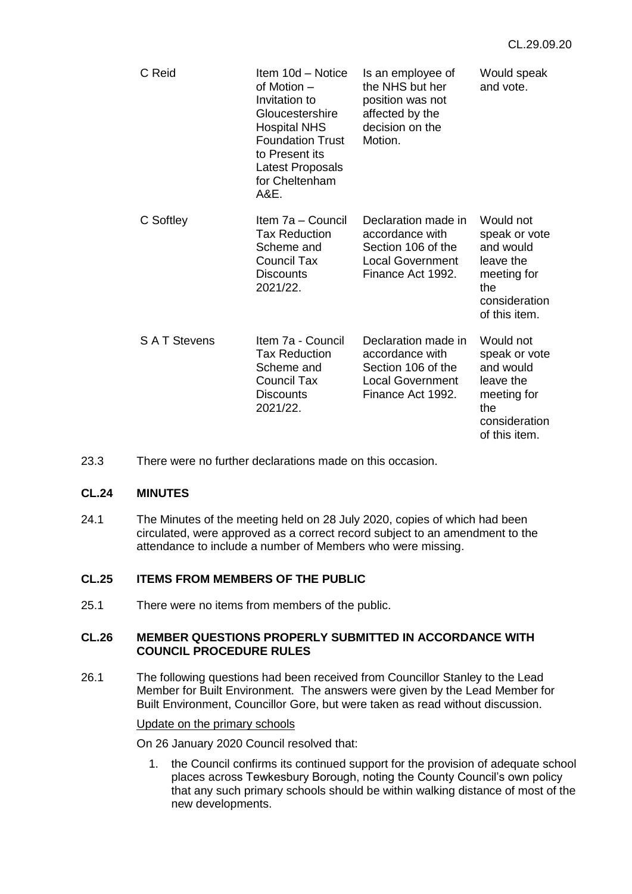| C Reid             | Item 10d - Notice<br>of Motion –<br>Invitation to<br>Gloucestershire<br><b>Hospital NHS</b><br><b>Foundation Trust</b><br>to Present its<br>Latest Proposals<br>for Cheltenham<br>A&E. | Is an employee of<br>the NHS but her<br>position was not<br>affected by the<br>decision on the<br>Motion.    | Would speak<br>and vote.                                                                                     |
|--------------------|----------------------------------------------------------------------------------------------------------------------------------------------------------------------------------------|--------------------------------------------------------------------------------------------------------------|--------------------------------------------------------------------------------------------------------------|
| C Softley          | Item 7a - Council<br><b>Tax Reduction</b><br>Scheme and<br>Council Tax<br><b>Discounts</b><br>2021/22.                                                                                 | Declaration made in<br>accordance with<br>Section 106 of the<br><b>Local Government</b><br>Finance Act 1992. | Would not<br>speak or vote<br>and would<br>leave the<br>meeting for<br>the<br>consideration<br>of this item. |
| <b>SAT Stevens</b> | Item 7a - Council<br><b>Tax Reduction</b><br>Scheme and<br>Council Tax<br><b>Discounts</b><br>2021/22.                                                                                 | Declaration made in<br>accordance with<br>Section 106 of the<br><b>Local Government</b><br>Finance Act 1992. | Would not<br>speak or vote<br>and would<br>leave the<br>meeting for<br>the<br>consideration<br>of this item. |

23.3 There were no further declarations made on this occasion.

# **CL.24 MINUTES**

24.1 The Minutes of the meeting held on 28 July 2020, copies of which had been circulated, were approved as a correct record subject to an amendment to the attendance to include a number of Members who were missing.

# **CL.25 ITEMS FROM MEMBERS OF THE PUBLIC**

25.1 There were no items from members of the public.

## **CL.26 MEMBER QUESTIONS PROPERLY SUBMITTED IN ACCORDANCE WITH COUNCIL PROCEDURE RULES**

26.1 The following questions had been received from Councillor Stanley to the Lead Member for Built Environment. The answers were given by the Lead Member for Built Environment, Councillor Gore, but were taken as read without discussion.

## Update on the primary schools

On 26 January 2020 Council resolved that:

1. the Council confirms its continued support for the provision of adequate school places across Tewkesbury Borough, noting the County Council's own policy that any such primary schools should be within walking distance of most of the new developments.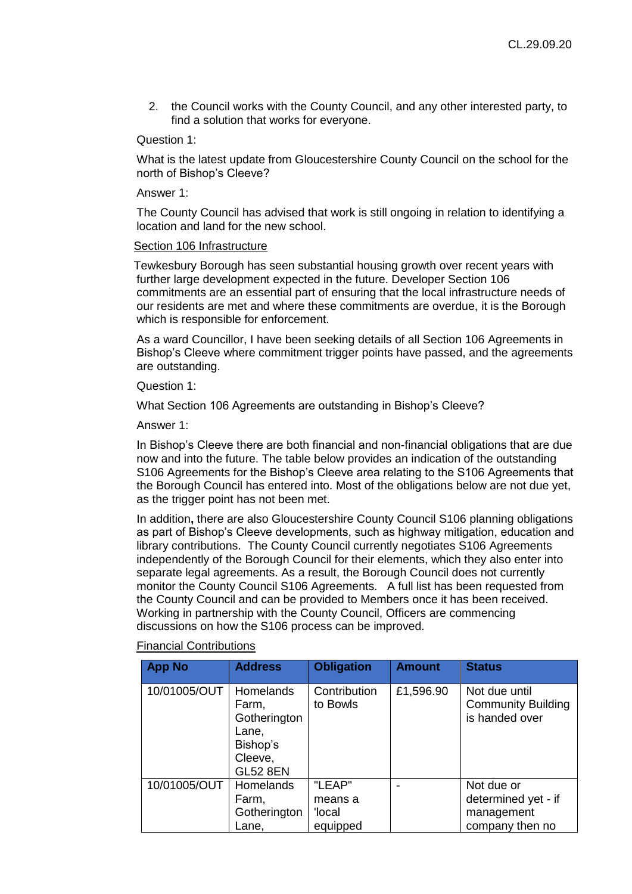2. the Council works with the County Council, and any other interested party, to find a solution that works for everyone.

## Question 1:

What is the latest update from Gloucestershire County Council on the school for the north of Bishop's Cleeve?

Answer 1:

The County Council has advised that work is still ongoing in relation to identifying a location and land for the new school.

#### Section 106 Infrastructure

Tewkesbury Borough has seen substantial housing growth over recent years with further large development expected in the future. Developer Section 106 commitments are an essential part of ensuring that the local infrastructure needs of our residents are met and where these commitments are overdue, it is the Borough which is responsible for enforcement.

As a ward Councillor, I have been seeking details of all Section 106 Agreements in Bishop's Cleeve where commitment trigger points have passed, and the agreements are outstanding.

Question 1:

What Section 106 Agreements are outstanding in Bishop's Cleeve?

Answer 1:

In Bishop's Cleeve there are both financial and non-financial obligations that are due now and into the future. The table below provides an indication of the outstanding S106 Agreements for the Bishop's Cleeve area relating to the S106 Agreements that the Borough Council has entered into. Most of the obligations below are not due yet, as the trigger point has not been met.

In addition**,** there are also Gloucestershire County Council S106 planning obligations as part of Bishop's Cleeve developments, such as highway mitigation, education and library contributions. The County Council currently negotiates S106 Agreements independently of the Borough Council for their elements, which they also enter into separate legal agreements. As a result, the Borough Council does not currently monitor the County Council S106 Agreements. A full list has been requested from the County Council and can be provided to Members once it has been received. Working in partnership with the County Council, Officers are commencing discussions on how the S106 process can be improved.

#### Financial Contributions

| <b>App No</b> | <b>Address</b>                                                                               | <b>Obligation</b>           | <b>Amount</b> | <b>Status</b>                                                |
|---------------|----------------------------------------------------------------------------------------------|-----------------------------|---------------|--------------------------------------------------------------|
| 10/01005/OUT  | <b>Homelands</b><br>Farm,<br>Gotherington<br>Lane,<br>Bishop's<br>Cleeve,<br><b>GL52 8EN</b> | Contribution<br>to Bowls    | £1,596.90     | Not due until<br><b>Community Building</b><br>is handed over |
| 10/01005/OUT  | <b>Homelands</b><br>Farm,<br>Gotherington                                                    | "LEAP"<br>means a<br>'Iocal |               | Not due or<br>determined yet - if<br>management              |
|               | Lane.                                                                                        | equipped                    |               | company then no                                              |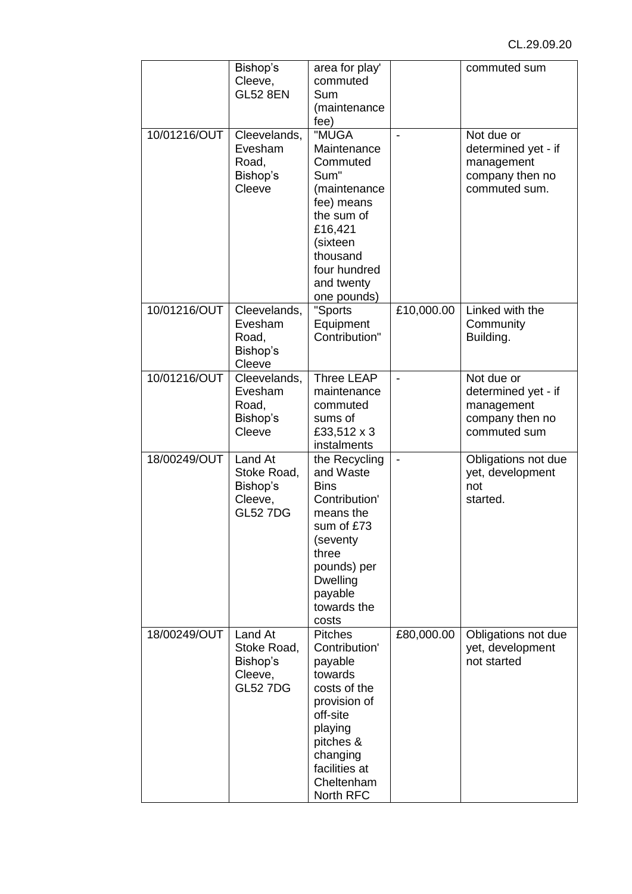|              | Bishop's<br>Cleeve,<br><b>GL52 8EN</b>                           | area for play'<br>commuted<br>Sum<br>(maintenance<br>fee)                                                                                                                         |            | commuted sum                                                                        |
|--------------|------------------------------------------------------------------|-----------------------------------------------------------------------------------------------------------------------------------------------------------------------------------|------------|-------------------------------------------------------------------------------------|
| 10/01216/OUT | Cleevelands,<br>Evesham<br>Road,<br>Bishop's<br>Cleeve           | "MUGA<br>Maintenance<br>Commuted<br>Sum"<br>(maintenance<br>fee) means<br>the sum of<br>£16,421<br>(sixteen<br>thousand<br>four hundred<br>and twenty<br>one pounds)              |            | Not due or<br>determined yet - if<br>management<br>company then no<br>commuted sum. |
| 10/01216/OUT | Cleevelands,<br>Evesham<br>Road,<br>Bishop's<br>Cleeve           | "Sports<br>Equipment<br>Contribution"                                                                                                                                             | £10,000.00 | Linked with the<br>Community<br>Building.                                           |
| 10/01216/OUT | Cleevelands,<br>Evesham<br>Road,<br>Bishop's<br>Cleeve           | Three LEAP<br>maintenance<br>commuted<br>sums of<br>£33,512 x 3<br>instalments                                                                                                    |            | Not due or<br>determined yet - if<br>management<br>company then no<br>commuted sum  |
| 18/00249/OUT | Land At<br>Stoke Road,<br>Bishop's<br>Cleeve,<br><b>GL52 7DG</b> | the Recycling<br>and Waste<br><b>Bins</b><br>Contribution'<br>means the<br>sum of £73<br>(seventy<br>three<br>pounds) per<br><b>Dwelling</b><br>payable<br>towards the<br>costs   |            | Obligations not due<br>yet, development<br>not<br>started.                          |
| 18/00249/OUT | Land At<br>Stoke Road,<br>Bishop's<br>Cleeve,<br><b>GL52 7DG</b> | <b>Pitches</b><br>Contribution'<br>payable<br>towards<br>costs of the<br>provision of<br>off-site<br>playing<br>pitches &<br>changing<br>facilities at<br>Cheltenham<br>North RFC | £80,000.00 | Obligations not due<br>yet, development<br>not started                              |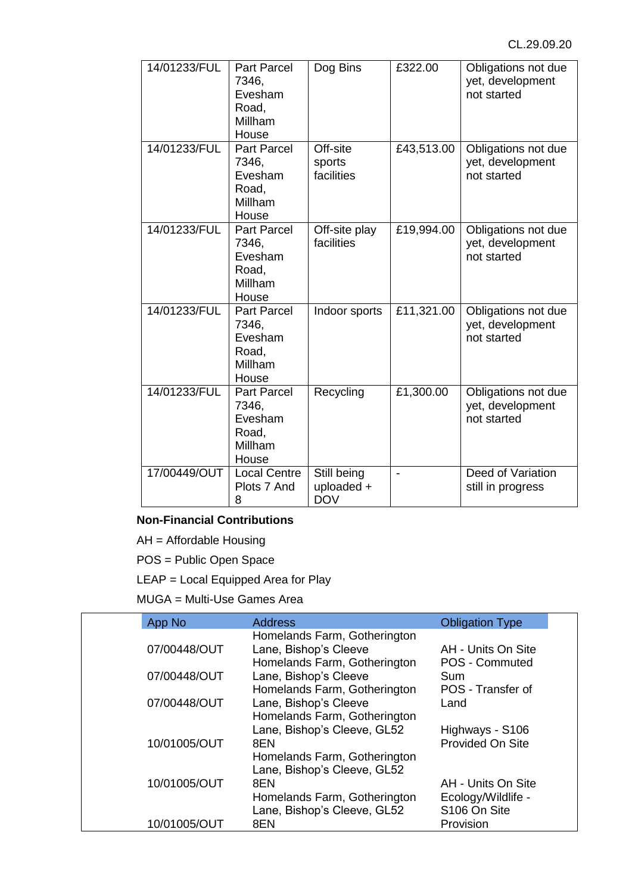| 14/01233/FUL | <b>Part Parcel</b><br>7346,<br>Evesham<br>Road,<br>Millham<br>House | Dog Bins                                | £322.00    | Obligations not due<br>yet, development<br>not started |
|--------------|---------------------------------------------------------------------|-----------------------------------------|------------|--------------------------------------------------------|
| 14/01233/FUL | <b>Part Parcel</b><br>7346.<br>Evesham<br>Road,<br>Millham<br>House | Off-site<br>sports<br>facilities        | £43,513.00 | Obligations not due<br>yet, development<br>not started |
| 14/01233/FUL | <b>Part Parcel</b><br>7346.<br>Evesham<br>Road,<br>Millham<br>House | Off-site play<br>facilities             | £19,994.00 | Obligations not due<br>yet, development<br>not started |
| 14/01233/FUL | <b>Part Parcel</b><br>7346,<br>Evesham<br>Road,<br>Millham<br>House | Indoor sports                           | £11,321.00 | Obligations not due<br>yet, development<br>not started |
| 14/01233/FUL | <b>Part Parcel</b><br>7346,<br>Evesham<br>Road,<br>Millham<br>House | Recycling                               | £1,300.00  | Obligations not due<br>yet, development<br>not started |
| 17/00449/OUT | <b>Local Centre</b><br>Plots 7 And<br>8                             | Still being<br>uploaded +<br><b>DOV</b> |            | Deed of Variation<br>still in progress                 |

# **Non-Financial Contributions**

AH = Affordable Housing

POS = Public Open Space

LEAP = Local Equipped Area for Play

MUGA = Multi-Use Games Area

| App No       | <b>Address</b>                                                                        | <b>Obligation Type</b>               |  |
|--------------|---------------------------------------------------------------------------------------|--------------------------------------|--|
| 07/00448/OUT | Homelands Farm, Gotherington<br>Lane, Bishop's Cleeve<br>Homelands Farm, Gotherington | AH - Units On Site<br>POS - Commuted |  |
| 07/00448/OUT | Lane, Bishop's Cleeve<br>Homelands Farm, Gotherington                                 | Sum<br>POS - Transfer of             |  |
| 07/00448/OUT | Lane, Bishop's Cleeve<br>Homelands Farm, Gotherington                                 | Land                                 |  |
| 10/01005/OUT | Lane, Bishop's Cleeve, GL52<br>8EN                                                    | Highways - S106<br>Provided On Site  |  |
|              | Homelands Farm, Gotherington                                                          |                                      |  |
| 10/01005/OUT | Lane, Bishop's Cleeve, GL52<br>8EN                                                    | AH - Units On Site                   |  |
|              | Homelands Farm, Gotherington<br>Lane, Bishop's Cleeve, GL52                           | Ecology/Wildlife -<br>S106 On Site   |  |
| 10/01005/OUT | 8EN                                                                                   | Provision                            |  |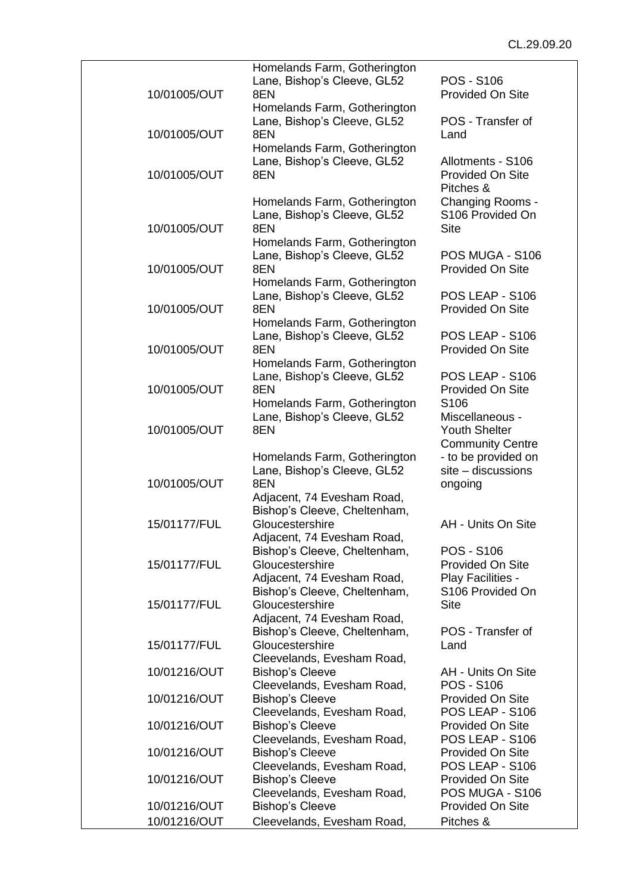| 10/01005/OUT | Homelands Farm, Gotherington<br>Lane, Bishop's Cleeve, GL52<br>8EN                                 | <b>POS - S106</b><br>Provided On Site                              |
|--------------|----------------------------------------------------------------------------------------------------|--------------------------------------------------------------------|
|              | Homelands Farm, Gotherington                                                                       |                                                                    |
| 10/01005/OUT | Lane, Bishop's Cleeve, GL52<br>8EN                                                                 | POS - Transfer of<br>Land                                          |
| 10/01005/OUT | Homelands Farm, Gotherington<br>Lane, Bishop's Cleeve, GL52<br>8EN                                 | Allotments - S106<br>Provided On Site<br>Pitches &                 |
| 10/01005/OUT | Homelands Farm, Gotherington<br>Lane, Bishop's Cleeve, GL52<br>8EN<br>Homelands Farm, Gotherington | Changing Rooms -<br>S106 Provided On<br><b>Site</b>                |
| 10/01005/OUT | Lane, Bishop's Cleeve, GL52<br>8EN                                                                 | POS MUGA - S106<br><b>Provided On Site</b>                         |
| 10/01005/OUT | Homelands Farm, Gotherington<br>Lane, Bishop's Cleeve, GL52<br>8EN                                 | POS LEAP - S106<br>Provided On Site                                |
| 10/01005/OUT | Homelands Farm, Gotherington<br>Lane, Bishop's Cleeve, GL52<br>8EN                                 | POS LEAP - S106<br><b>Provided On Site</b>                         |
|              | Homelands Farm, Gotherington                                                                       | POS LEAP - S106                                                    |
| 10/01005/OUT | Lane, Bishop's Cleeve, GL52<br>8EN<br>Homelands Farm, Gotherington                                 | Provided On Site<br>S <sub>106</sub>                               |
| 10/01005/OUT | Lane, Bishop's Cleeve, GL52<br>8EN                                                                 | Miscellaneous -<br><b>Youth Shelter</b><br><b>Community Centre</b> |
| 10/01005/OUT | Homelands Farm, Gotherington<br>Lane, Bishop's Cleeve, GL52<br>8EN                                 | - to be provided on<br>$site$ – discussions<br>ongoing             |
|              | Adjacent, 74 Evesham Road,<br>Bishop's Cleeve, Cheltenham,                                         |                                                                    |
| 15/01177/FUL | Gloucestershire<br>Adjacent, 74 Evesham Road,<br>Bishop's Cleeve, Cheltenham,                      | AH - Units On Site<br><b>POS - S106</b>                            |
| 15/01177/FUL | Gloucestershire<br>Adjacent, 74 Evesham Road,                                                      | <b>Provided On Site</b><br>Play Facilities -                       |
| 15/01177/FUL | Bishop's Cleeve, Cheltenham,<br>Gloucestershire<br>Adjacent, 74 Evesham Road,                      | S106 Provided On<br><b>Site</b>                                    |
| 15/01177/FUL | Bishop's Cleeve, Cheltenham,<br>Gloucestershire<br>Cleevelands, Evesham Road,                      | POS - Transfer of<br>Land                                          |
| 10/01216/OUT | <b>Bishop's Cleeve</b><br>Cleevelands, Evesham Road,                                               | AH - Units On Site<br><b>POS - S106</b>                            |
| 10/01216/OUT | <b>Bishop's Cleeve</b><br>Cleevelands, Evesham Road,                                               | Provided On Site<br>POS LEAP - S106                                |
| 10/01216/OUT | <b>Bishop's Cleeve</b><br>Cleevelands, Evesham Road,                                               | <b>Provided On Site</b><br>POS LEAP - S106                         |
| 10/01216/OUT | <b>Bishop's Cleeve</b><br>Cleevelands, Evesham Road,                                               | <b>Provided On Site</b><br>POS LEAP - S106                         |
| 10/01216/OUT | <b>Bishop's Cleeve</b><br>Cleevelands, Evesham Road,                                               | <b>Provided On Site</b><br>POS MUGA - S106                         |
| 10/01216/OUT | <b>Bishop's Cleeve</b>                                                                             | <b>Provided On Site</b>                                            |
| 10/01216/OUT | Cleevelands, Evesham Road,                                                                         | Pitches &                                                          |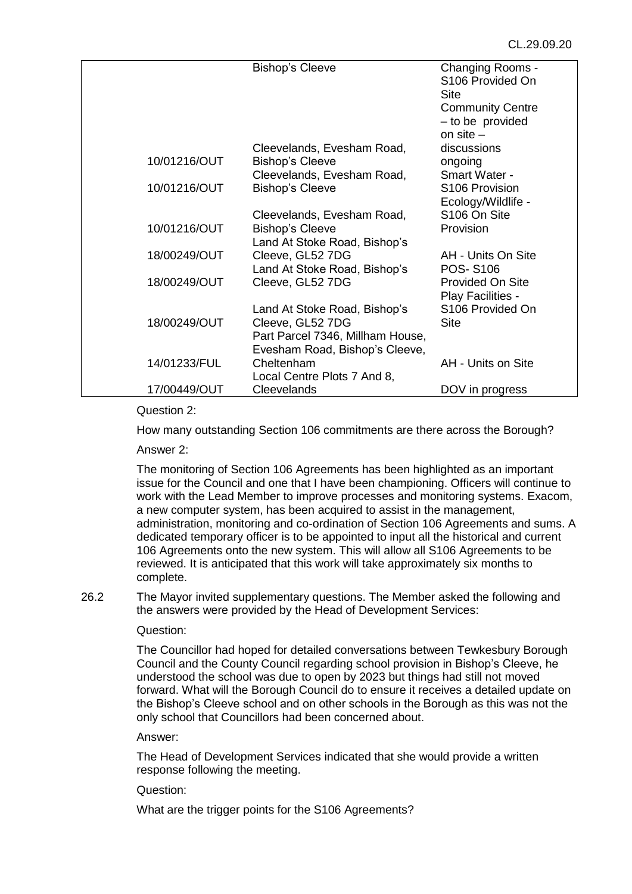|              | <b>Bishop's Cleeve</b>           | Changing Rooms -             |
|--------------|----------------------------------|------------------------------|
|              |                                  | S <sub>106</sub> Provided On |
|              |                                  | Site                         |
|              |                                  | <b>Community Centre</b>      |
|              |                                  | - to be provided             |
|              |                                  | on site $-$                  |
|              | Cleevelands, Evesham Road,       | discussions                  |
| 10/01216/OUT | <b>Bishop's Cleeve</b>           | ongoing                      |
|              | Cleevelands, Evesham Road,       | Smart Water -                |
| 10/01216/OUT | <b>Bishop's Cleeve</b>           | S <sub>106</sub> Provision   |
|              |                                  | Ecology/Wildlife -           |
|              | Cleevelands, Evesham Road,       | S106 On Site                 |
| 10/01216/OUT | <b>Bishop's Cleeve</b>           | Provision                    |
|              | Land At Stoke Road, Bishop's     |                              |
| 18/00249/OUT | Cleeve, GL52 7DG                 | AH - Units On Site           |
|              | Land At Stoke Road, Bishop's     | <b>POS-S106</b>              |
| 18/00249/OUT | Cleeve, GL52 7DG                 | <b>Provided On Site</b>      |
|              |                                  | Play Facilities -            |
|              | Land At Stoke Road, Bishop's     | S <sub>106</sub> Provided On |
| 18/00249/OUT | Cleeve, GL52 7DG                 | Site                         |
|              | Part Parcel 7346, Millham House, |                              |
|              | Evesham Road, Bishop's Cleeve,   |                              |
| 14/01233/FUL | Cheltenham                       | AH - Units on Site           |
|              | Local Centre Plots 7 And 8,      |                              |
| 17/00449/OUT | Cleevelands                      | DOV in progress              |
|              |                                  |                              |

## Question 2:

How many outstanding Section 106 commitments are there across the Borough?

Answer 2:

The monitoring of Section 106 Agreements has been highlighted as an important issue for the Council and one that I have been championing. Officers will continue to work with the Lead Member to improve processes and monitoring systems. Exacom, a new computer system, has been acquired to assist in the management, administration, monitoring and co-ordination of Section 106 Agreements and sums. A dedicated temporary officer is to be appointed to input all the historical and current 106 Agreements onto the new system. This will allow all S106 Agreements to be reviewed. It is anticipated that this work will take approximately six months to complete.

26.2 The Mayor invited supplementary questions. The Member asked the following and the answers were provided by the Head of Development Services:

## Question:

The Councillor had hoped for detailed conversations between Tewkesbury Borough Council and the County Council regarding school provision in Bishop's Cleeve, he understood the school was due to open by 2023 but things had still not moved forward. What will the Borough Council do to ensure it receives a detailed update on the Bishop's Cleeve school and on other schools in the Borough as this was not the only school that Councillors had been concerned about.

## Answer:

The Head of Development Services indicated that she would provide a written response following the meeting.

# Question:

What are the trigger points for the S106 Agreements?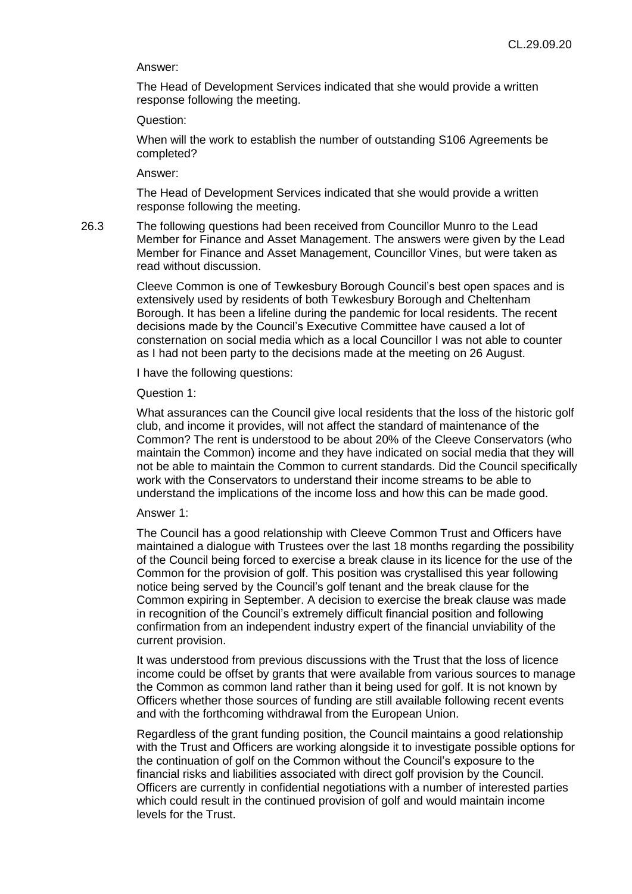#### Answer:

The Head of Development Services indicated that she would provide a written response following the meeting.

#### Question:

When will the work to establish the number of outstanding S106 Agreements be completed?

## Answer:

The Head of Development Services indicated that she would provide a written response following the meeting.

26.3 The following questions had been received from Councillor Munro to the Lead Member for Finance and Asset Management. The answers were given by the Lead Member for Finance and Asset Management, Councillor Vines, but were taken as read without discussion.

> Cleeve Common is one of Tewkesbury Borough Council's best open spaces and is extensively used by residents of both Tewkesbury Borough and Cheltenham Borough. It has been a lifeline during the pandemic for local residents. The recent decisions made by the Council's Executive Committee have caused a lot of consternation on social media which as a local Councillor I was not able to counter as I had not been party to the decisions made at the meeting on 26 August.

I have the following questions:

#### Question 1:

What assurances can the Council give local residents that the loss of the historic golf club, and income it provides, will not affect the standard of maintenance of the Common? The rent is understood to be about 20% of the Cleeve Conservators (who maintain the Common) income and they have indicated on social media that they will not be able to maintain the Common to current standards. Did the Council specifically work with the Conservators to understand their income streams to be able to understand the implications of the income loss and how this can be made good.

#### Answer 1:

The Council has a good relationship with Cleeve Common Trust and Officers have maintained a dialogue with Trustees over the last 18 months regarding the possibility of the Council being forced to exercise a break clause in its licence for the use of the Common for the provision of golf. This position was crystallised this year following notice being served by the Council's golf tenant and the break clause for the Common expiring in September. A decision to exercise the break clause was made in recognition of the Council's extremely difficult financial position and following confirmation from an independent industry expert of the financial unviability of the current provision.

It was understood from previous discussions with the Trust that the loss of licence income could be offset by grants that were available from various sources to manage the Common as common land rather than it being used for golf. It is not known by Officers whether those sources of funding are still available following recent events and with the forthcoming withdrawal from the European Union.

Regardless of the grant funding position, the Council maintains a good relationship with the Trust and Officers are working alongside it to investigate possible options for the continuation of golf on the Common without the Council's exposure to the financial risks and liabilities associated with direct golf provision by the Council. Officers are currently in confidential negotiations with a number of interested parties which could result in the continued provision of golf and would maintain income levels for the Trust.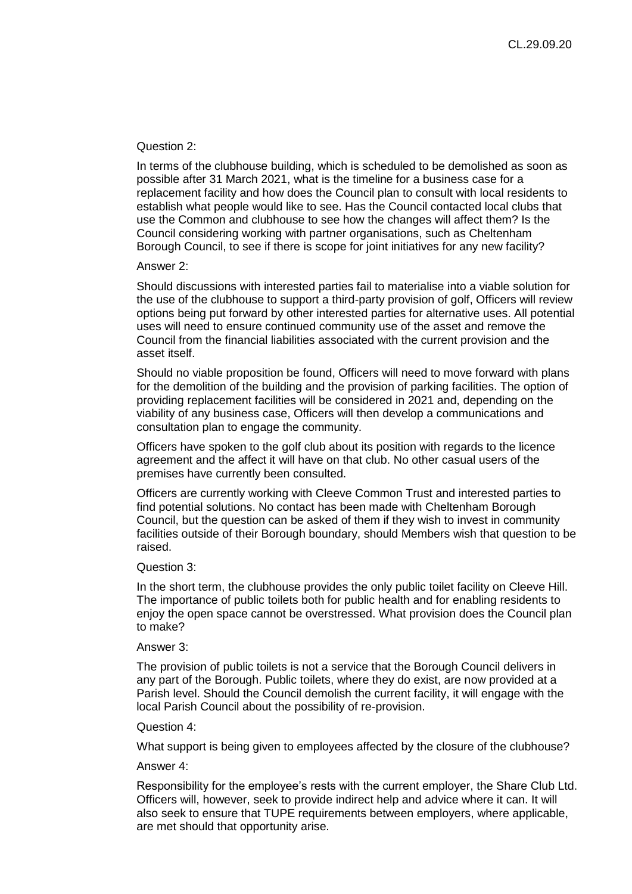#### Question 2:

In terms of the clubhouse building, which is scheduled to be demolished as soon as possible after 31 March 2021, what is the timeline for a business case for a replacement facility and how does the Council plan to consult with local residents to establish what people would like to see. Has the Council contacted local clubs that use the Common and clubhouse to see how the changes will affect them? Is the Council considering working with partner organisations, such as Cheltenham Borough Council, to see if there is scope for joint initiatives for any new facility?

#### Answer 2:

Should discussions with interested parties fail to materialise into a viable solution for the use of the clubhouse to support a third-party provision of golf, Officers will review options being put forward by other interested parties for alternative uses. All potential uses will need to ensure continued community use of the asset and remove the Council from the financial liabilities associated with the current provision and the asset itself.

Should no viable proposition be found, Officers will need to move forward with plans for the demolition of the building and the provision of parking facilities. The option of providing replacement facilities will be considered in 2021 and, depending on the viability of any business case, Officers will then develop a communications and consultation plan to engage the community.

Officers have spoken to the golf club about its position with regards to the licence agreement and the affect it will have on that club. No other casual users of the premises have currently been consulted.

Officers are currently working with Cleeve Common Trust and interested parties to find potential solutions. No contact has been made with Cheltenham Borough Council, but the question can be asked of them if they wish to invest in community facilities outside of their Borough boundary, should Members wish that question to be raised.

#### Question 3:

In the short term, the clubhouse provides the only public toilet facility on Cleeve Hill. The importance of public toilets both for public health and for enabling residents to enjoy the open space cannot be overstressed. What provision does the Council plan to make?

#### Answer 3:

The provision of public toilets is not a service that the Borough Council delivers in any part of the Borough. Public toilets, where they do exist, are now provided at a Parish level. Should the Council demolish the current facility, it will engage with the local Parish Council about the possibility of re-provision.

#### Question 4:

What support is being given to employees affected by the closure of the clubhouse?

## Answer 4:

Responsibility for the employee's rests with the current employer, the Share Club Ltd. Officers will, however, seek to provide indirect help and advice where it can. It will also seek to ensure that TUPE requirements between employers, where applicable, are met should that opportunity arise.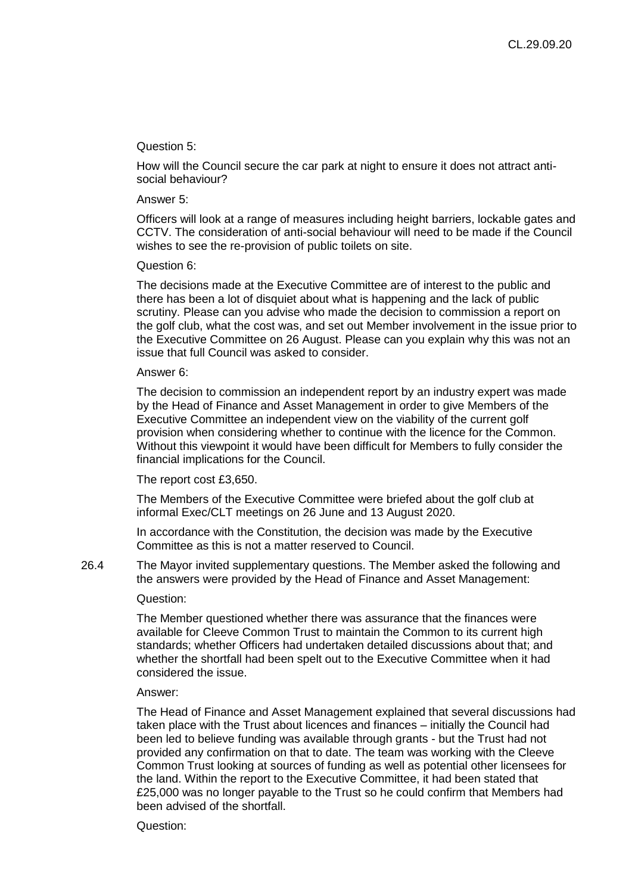## Question 5:

How will the Council secure the car park at night to ensure it does not attract antisocial behaviour?

#### Answer 5:

Officers will look at a range of measures including height barriers, lockable gates and CCTV. The consideration of anti-social behaviour will need to be made if the Council wishes to see the re-provision of public toilets on site.

#### Question 6:

The decisions made at the Executive Committee are of interest to the public and there has been a lot of disquiet about what is happening and the lack of public scrutiny. Please can you advise who made the decision to commission a report on the golf club, what the cost was, and set out Member involvement in the issue prior to the Executive Committee on 26 August. Please can you explain why this was not an issue that full Council was asked to consider.

#### Answer 6:

The decision to commission an independent report by an industry expert was made by the Head of Finance and Asset Management in order to give Members of the Executive Committee an independent view on the viability of the current golf provision when considering whether to continue with the licence for the Common. Without this viewpoint it would have been difficult for Members to fully consider the financial implications for the Council.

## The report cost £3,650.

The Members of the Executive Committee were briefed about the golf club at informal Exec/CLT meetings on 26 June and 13 August 2020.

In accordance with the Constitution, the decision was made by the Executive Committee as this is not a matter reserved to Council.

26.4 The Mayor invited supplementary questions. The Member asked the following and the answers were provided by the Head of Finance and Asset Management:

## Question:

The Member questioned whether there was assurance that the finances were available for Cleeve Common Trust to maintain the Common to its current high standards; whether Officers had undertaken detailed discussions about that; and whether the shortfall had been spelt out to the Executive Committee when it had considered the issue.

# Answer:

The Head of Finance and Asset Management explained that several discussions had taken place with the Trust about licences and finances – initially the Council had been led to believe funding was available through grants - but the Trust had not provided any confirmation on that to date. The team was working with the Cleeve Common Trust looking at sources of funding as well as potential other licensees for the land. Within the report to the Executive Committee, it had been stated that £25,000 was no longer payable to the Trust so he could confirm that Members had been advised of the shortfall.

Question: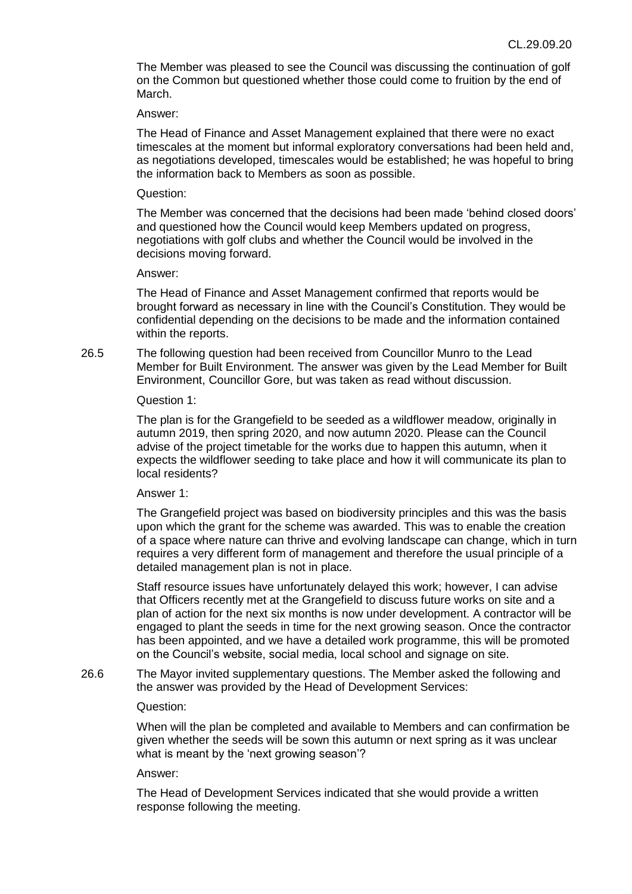The Member was pleased to see the Council was discussing the continuation of golf on the Common but questioned whether those could come to fruition by the end of March.

#### Answer:

The Head of Finance and Asset Management explained that there were no exact timescales at the moment but informal exploratory conversations had been held and, as negotiations developed, timescales would be established; he was hopeful to bring the information back to Members as soon as possible.

#### Question:

The Member was concerned that the decisions had been made 'behind closed doors' and questioned how the Council would keep Members updated on progress, negotiations with golf clubs and whether the Council would be involved in the decisions moving forward.

#### Answer:

The Head of Finance and Asset Management confirmed that reports would be brought forward as necessary in line with the Council's Constitution. They would be confidential depending on the decisions to be made and the information contained within the reports.

26.5 The following question had been received from Councillor Munro to the Lead Member for Built Environment. The answer was given by the Lead Member for Built Environment, Councillor Gore, but was taken as read without discussion.

## Question 1:

The plan is for the Grangefield to be seeded as a wildflower meadow, originally in autumn 2019, then spring 2020, and now autumn 2020. Please can the Council advise of the project timetable for the works due to happen this autumn, when it expects the wildflower seeding to take place and how it will communicate its plan to local residents?

## Answer 1:

The Grangefield project was based on biodiversity principles and this was the basis upon which the grant for the scheme was awarded. This was to enable the creation of a space where nature can thrive and evolving landscape can change, which in turn requires a very different form of management and therefore the usual principle of a detailed management plan is not in place.

Staff resource issues have unfortunately delayed this work; however, I can advise that Officers recently met at the Grangefield to discuss future works on site and a plan of action for the next six months is now under development. A contractor will be engaged to plant the seeds in time for the next growing season. Once the contractor has been appointed, and we have a detailed work programme, this will be promoted on the Council's website, social media, local school and signage on site.

26.6 The Mayor invited supplementary questions. The Member asked the following and the answer was provided by the Head of Development Services:

## Question:

When will the plan be completed and available to Members and can confirmation be given whether the seeds will be sown this autumn or next spring as it was unclear what is meant by the 'next growing season'?

## Answer:

The Head of Development Services indicated that she would provide a written response following the meeting.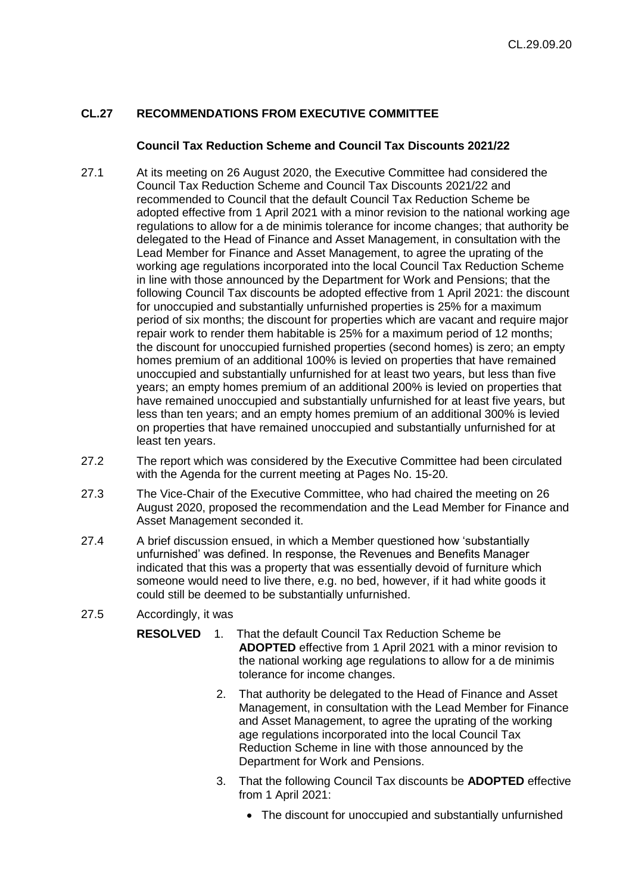# **CL.27 RECOMMENDATIONS FROM EXECUTIVE COMMITTEE**

## **Council Tax Reduction Scheme and Council Tax Discounts 2021/22**

- 27.1 At its meeting on 26 August 2020, the Executive Committee had considered the Council Tax Reduction Scheme and Council Tax Discounts 2021/22 and recommended to Council that the default Council Tax Reduction Scheme be adopted effective from 1 April 2021 with a minor revision to the national working age regulations to allow for a de minimis tolerance for income changes; that authority be delegated to the Head of Finance and Asset Management, in consultation with the Lead Member for Finance and Asset Management, to agree the uprating of the working age regulations incorporated into the local Council Tax Reduction Scheme in line with those announced by the Department for Work and Pensions; that the following Council Tax discounts be adopted effective from 1 April 2021: the discount for unoccupied and substantially unfurnished properties is 25% for a maximum period of six months; the discount for properties which are vacant and require major repair work to render them habitable is 25% for a maximum period of 12 months; the discount for unoccupied furnished properties (second homes) is zero; an empty homes premium of an additional 100% is levied on properties that have remained unoccupied and substantially unfurnished for at least two years, but less than five years; an empty homes premium of an additional 200% is levied on properties that have remained unoccupied and substantially unfurnished for at least five years, but less than ten years; and an empty homes premium of an additional 300% is levied on properties that have remained unoccupied and substantially unfurnished for at least ten years.
- 27.2 The report which was considered by the Executive Committee had been circulated with the Agenda for the current meeting at Pages No. 15-20.
- 27.3 The Vice-Chair of the Executive Committee, who had chaired the meeting on 26 August 2020, proposed the recommendation and the Lead Member for Finance and Asset Management seconded it.
- 27.4 A brief discussion ensued, in which a Member questioned how 'substantially unfurnished' was defined. In response, the Revenues and Benefits Manager indicated that this was a property that was essentially devoid of furniture which someone would need to live there, e.g. no bed, however, if it had white goods it could still be deemed to be substantially unfurnished.
- 27.5 Accordingly, it was
	- **RESOLVED** 1. That the default Council Tax Reduction Scheme be **ADOPTED** effective from 1 April 2021 with a minor revision to the national working age regulations to allow for a de minimis tolerance for income changes.
		- 2. That authority be delegated to the Head of Finance and Asset Management, in consultation with the Lead Member for Finance and Asset Management, to agree the uprating of the working age regulations incorporated into the local Council Tax Reduction Scheme in line with those announced by the Department for Work and Pensions.
		- 3. That the following Council Tax discounts be **ADOPTED** effective from 1 April 2021:
			- The discount for unoccupied and substantially unfurnished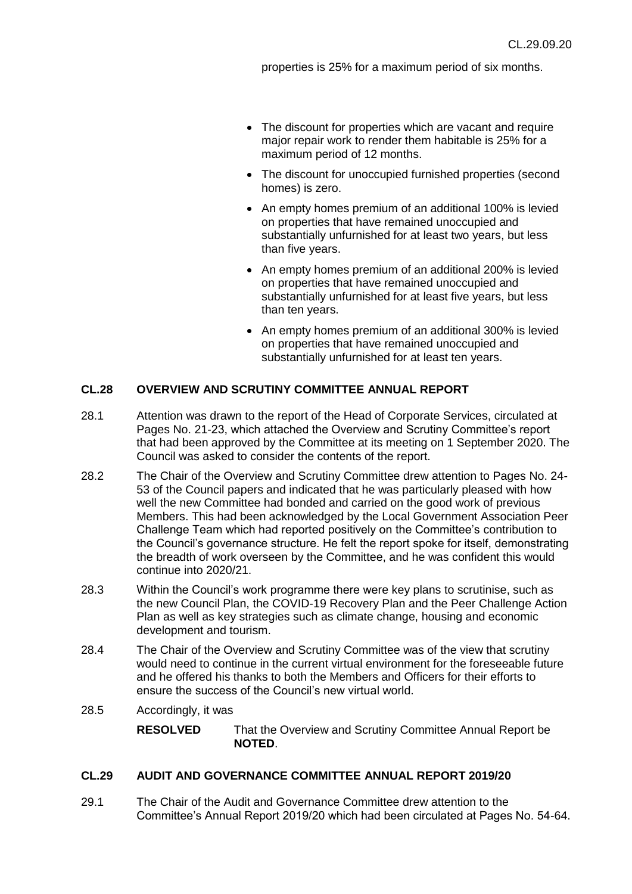properties is 25% for a maximum period of six months.

- The discount for properties which are vacant and require major repair work to render them habitable is 25% for a maximum period of 12 months.
- The discount for unoccupied furnished properties (second homes) is zero.
- An empty homes premium of an additional 100% is levied on properties that have remained unoccupied and substantially unfurnished for at least two years, but less than five years.
- An empty homes premium of an additional 200% is levied on properties that have remained unoccupied and substantially unfurnished for at least five years, but less than ten years.
- An empty homes premium of an additional 300% is levied on properties that have remained unoccupied and substantially unfurnished for at least ten years.

# **CL.28 OVERVIEW AND SCRUTINY COMMITTEE ANNUAL REPORT**

- 28.1 Attention was drawn to the report of the Head of Corporate Services, circulated at Pages No. 21-23, which attached the Overview and Scrutiny Committee's report that had been approved by the Committee at its meeting on 1 September 2020. The Council was asked to consider the contents of the report.
- 28.2 The Chair of the Overview and Scrutiny Committee drew attention to Pages No. 24- 53 of the Council papers and indicated that he was particularly pleased with how well the new Committee had bonded and carried on the good work of previous Members. This had been acknowledged by the Local Government Association Peer Challenge Team which had reported positively on the Committee's contribution to the Council's governance structure. He felt the report spoke for itself, demonstrating the breadth of work overseen by the Committee, and he was confident this would continue into 2020/21.
- 28.3 Within the Council's work programme there were key plans to scrutinise, such as the new Council Plan, the COVID-19 Recovery Plan and the Peer Challenge Action Plan as well as key strategies such as climate change, housing and economic development and tourism.
- 28.4 The Chair of the Overview and Scrutiny Committee was of the view that scrutiny would need to continue in the current virtual environment for the foreseeable future and he offered his thanks to both the Members and Officers for their efforts to ensure the success of the Council's new virtual world.
- 28.5 Accordingly, it was

**RESOLVED** That the Overview and Scrutiny Committee Annual Report be **NOTED**.

# **CL.29 AUDIT AND GOVERNANCE COMMITTEE ANNUAL REPORT 2019/20**

29.1 The Chair of the Audit and Governance Committee drew attention to the Committee's Annual Report 2019/20 which had been circulated at Pages No. 54-64.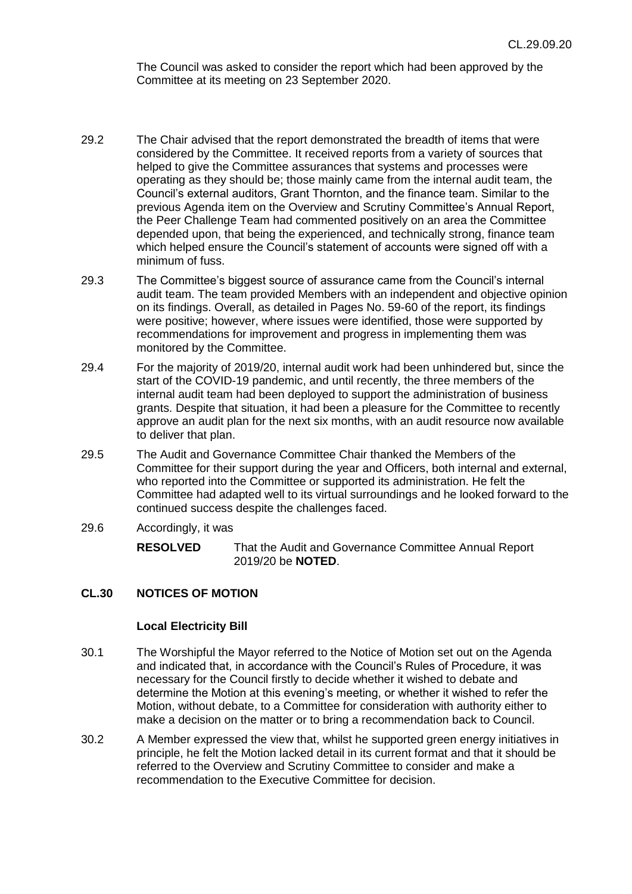The Council was asked to consider the report which had been approved by the Committee at its meeting on 23 September 2020.

- 29.2 The Chair advised that the report demonstrated the breadth of items that were considered by the Committee. It received reports from a variety of sources that helped to give the Committee assurances that systems and processes were operating as they should be; those mainly came from the internal audit team, the Council's external auditors, Grant Thornton, and the finance team. Similar to the previous Agenda item on the Overview and Scrutiny Committee's Annual Report, the Peer Challenge Team had commented positively on an area the Committee depended upon, that being the experienced, and technically strong, finance team which helped ensure the Council's statement of accounts were signed off with a minimum of fuss.
- 29.3 The Committee's biggest source of assurance came from the Council's internal audit team. The team provided Members with an independent and objective opinion on its findings. Overall, as detailed in Pages No. 59-60 of the report, its findings were positive; however, where issues were identified, those were supported by recommendations for improvement and progress in implementing them was monitored by the Committee.
- 29.4 For the majority of 2019/20, internal audit work had been unhindered but, since the start of the COVID-19 pandemic, and until recently, the three members of the internal audit team had been deployed to support the administration of business grants. Despite that situation, it had been a pleasure for the Committee to recently approve an audit plan for the next six months, with an audit resource now available to deliver that plan.
- 29.5 The Audit and Governance Committee Chair thanked the Members of the Committee for their support during the year and Officers, both internal and external, who reported into the Committee or supported its administration. He felt the Committee had adapted well to its virtual surroundings and he looked forward to the continued success despite the challenges faced.
- 29.6 Accordingly, it was

**RESOLVED** That the Audit and Governance Committee Annual Report 2019/20 be **NOTED**.

# **CL.30 NOTICES OF MOTION**

## **Local Electricity Bill**

- 30.1 The Worshipful the Mayor referred to the Notice of Motion set out on the Agenda and indicated that, in accordance with the Council's Rules of Procedure, it was necessary for the Council firstly to decide whether it wished to debate and determine the Motion at this evening's meeting, or whether it wished to refer the Motion, without debate, to a Committee for consideration with authority either to make a decision on the matter or to bring a recommendation back to Council.
- 30.2 A Member expressed the view that, whilst he supported green energy initiatives in principle, he felt the Motion lacked detail in its current format and that it should be referred to the Overview and Scrutiny Committee to consider and make a recommendation to the Executive Committee for decision.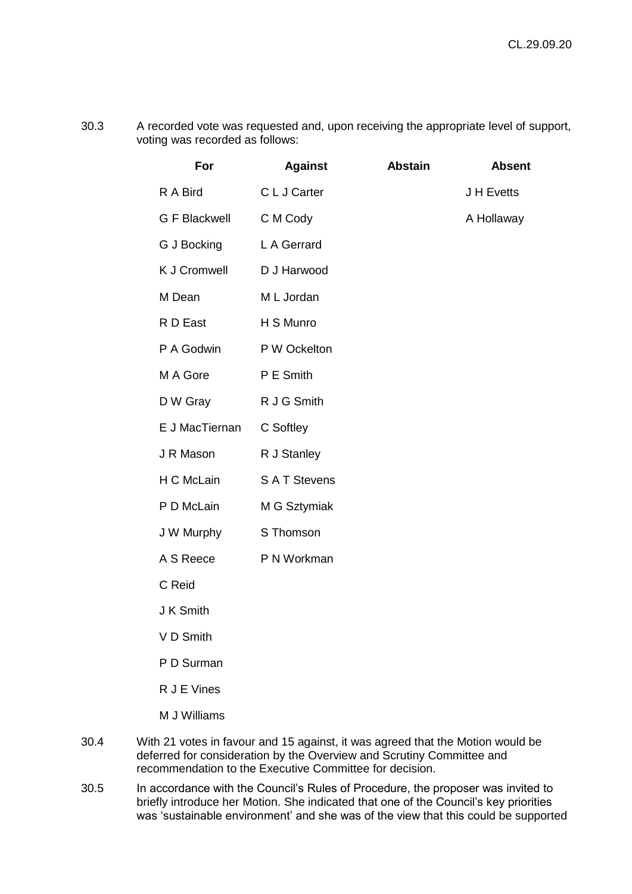30.3 A recorded vote was requested and, upon receiving the appropriate level of support, voting was recorded as follows:

| For                  | <b>Against</b>     | <b>Abstain</b> | <b>Absent</b> |
|----------------------|--------------------|----------------|---------------|
| R A Bird             | C L J Carter       |                | J H Evetts    |
| <b>G F Blackwell</b> | C M Cody           |                | A Hollaway    |
| G J Bocking          | L A Gerrard        |                |               |
| <b>K J Cromwell</b>  | D J Harwood        |                |               |
| M Dean               | M L Jordan         |                |               |
| R D East             | H S Munro          |                |               |
| P A Godwin           | P W Ockelton       |                |               |
| M A Gore             | P E Smith          |                |               |
| D W Gray             | R J G Smith        |                |               |
| E J MacTiernan       | C Softley          |                |               |
| J R Mason            | R J Stanley        |                |               |
| H C McLain           | <b>SAT Stevens</b> |                |               |
| P D McLain           | M G Sztymiak       |                |               |
| J W Murphy           | S Thomson          |                |               |
| A S Reece            | P N Workman        |                |               |
| C Reid               |                    |                |               |
| J K Smith            |                    |                |               |
| V D Smith            |                    |                |               |
| P D Surman           |                    |                |               |

- R J E Vines
- M J Williams
- 30.4 With 21 votes in favour and 15 against, it was agreed that the Motion would be deferred for consideration by the Overview and Scrutiny Committee and recommendation to the Executive Committee for decision.
- 30.5 In accordance with the Council's Rules of Procedure, the proposer was invited to briefly introduce her Motion. She indicated that one of the Council's key priorities was 'sustainable environment' and she was of the view that this could be supported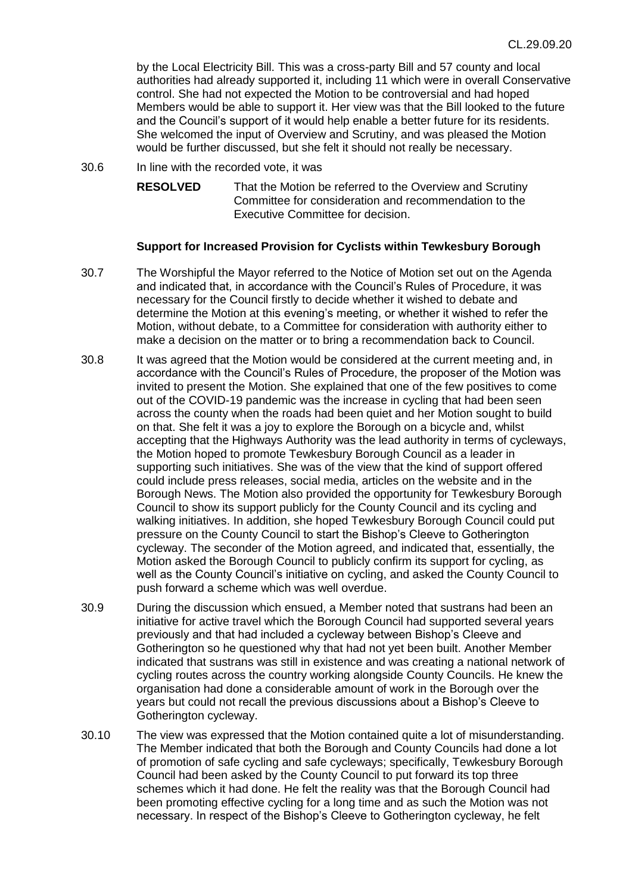by the Local Electricity Bill. This was a cross-party Bill and 57 county and local authorities had already supported it, including 11 which were in overall Conservative control. She had not expected the Motion to be controversial and had hoped Members would be able to support it. Her view was that the Bill looked to the future and the Council's support of it would help enable a better future for its residents. She welcomed the input of Overview and Scrutiny, and was pleased the Motion would be further discussed, but she felt it should not really be necessary.

30.6 In line with the recorded vote, it was

**RESOLVED** That the Motion be referred to the Overview and Scrutiny Committee for consideration and recommendation to the Executive Committee for decision.

## **Support for Increased Provision for Cyclists within Tewkesbury Borough**

- 30.7 The Worshipful the Mayor referred to the Notice of Motion set out on the Agenda and indicated that, in accordance with the Council's Rules of Procedure, it was necessary for the Council firstly to decide whether it wished to debate and determine the Motion at this evening's meeting, or whether it wished to refer the Motion, without debate, to a Committee for consideration with authority either to make a decision on the matter or to bring a recommendation back to Council.
- 30.8 It was agreed that the Motion would be considered at the current meeting and, in accordance with the Council's Rules of Procedure, the proposer of the Motion was invited to present the Motion. She explained that one of the few positives to come out of the COVID-19 pandemic was the increase in cycling that had been seen across the county when the roads had been quiet and her Motion sought to build on that. She felt it was a joy to explore the Borough on a bicycle and, whilst accepting that the Highways Authority was the lead authority in terms of cycleways, the Motion hoped to promote Tewkesbury Borough Council as a leader in supporting such initiatives. She was of the view that the kind of support offered could include press releases, social media, articles on the website and in the Borough News. The Motion also provided the opportunity for Tewkesbury Borough Council to show its support publicly for the County Council and its cycling and walking initiatives. In addition, she hoped Tewkesbury Borough Council could put pressure on the County Council to start the Bishop's Cleeve to Gotherington cycleway. The seconder of the Motion agreed, and indicated that, essentially, the Motion asked the Borough Council to publicly confirm its support for cycling, as well as the County Council's initiative on cycling, and asked the County Council to push forward a scheme which was well overdue.
- 30.9 During the discussion which ensued, a Member noted that sustrans had been an initiative for active travel which the Borough Council had supported several years previously and that had included a cycleway between Bishop's Cleeve and Gotherington so he questioned why that had not yet been built. Another Member indicated that sustrans was still in existence and was creating a national network of cycling routes across the country working alongside County Councils. He knew the organisation had done a considerable amount of work in the Borough over the years but could not recall the previous discussions about a Bishop's Cleeve to Gotherington cycleway.
- 30.10 The view was expressed that the Motion contained quite a lot of misunderstanding. The Member indicated that both the Borough and County Councils had done a lot of promotion of safe cycling and safe cycleways; specifically, Tewkesbury Borough Council had been asked by the County Council to put forward its top three schemes which it had done. He felt the reality was that the Borough Council had been promoting effective cycling for a long time and as such the Motion was not necessary. In respect of the Bishop's Cleeve to Gotherington cycleway, he felt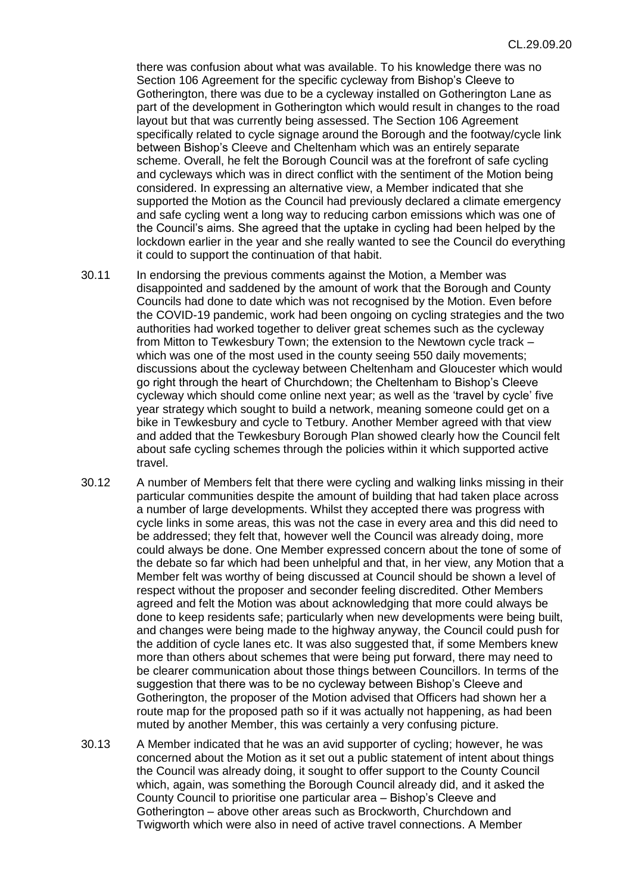there was confusion about what was available. To his knowledge there was no Section 106 Agreement for the specific cycleway from Bishop's Cleeve to Gotherington, there was due to be a cycleway installed on Gotherington Lane as part of the development in Gotherington which would result in changes to the road layout but that was currently being assessed. The Section 106 Agreement specifically related to cycle signage around the Borough and the footway/cycle link between Bishop's Cleeve and Cheltenham which was an entirely separate scheme. Overall, he felt the Borough Council was at the forefront of safe cycling and cycleways which was in direct conflict with the sentiment of the Motion being considered. In expressing an alternative view, a Member indicated that she supported the Motion as the Council had previously declared a climate emergency and safe cycling went a long way to reducing carbon emissions which was one of the Council's aims. She agreed that the uptake in cycling had been helped by the lockdown earlier in the year and she really wanted to see the Council do everything it could to support the continuation of that habit.

- 30.11 In endorsing the previous comments against the Motion, a Member was disappointed and saddened by the amount of work that the Borough and County Councils had done to date which was not recognised by the Motion. Even before the COVID-19 pandemic, work had been ongoing on cycling strategies and the two authorities had worked together to deliver great schemes such as the cycleway from Mitton to Tewkesbury Town; the extension to the Newtown cycle track – which was one of the most used in the county seeing 550 daily movements; discussions about the cycleway between Cheltenham and Gloucester which would go right through the heart of Churchdown; the Cheltenham to Bishop's Cleeve cycleway which should come online next year; as well as the 'travel by cycle' five year strategy which sought to build a network, meaning someone could get on a bike in Tewkesbury and cycle to Tetbury. Another Member agreed with that view and added that the Tewkesbury Borough Plan showed clearly how the Council felt about safe cycling schemes through the policies within it which supported active travel.
- 30.12 A number of Members felt that there were cycling and walking links missing in their particular communities despite the amount of building that had taken place across a number of large developments. Whilst they accepted there was progress with cycle links in some areas, this was not the case in every area and this did need to be addressed; they felt that, however well the Council was already doing, more could always be done. One Member expressed concern about the tone of some of the debate so far which had been unhelpful and that, in her view, any Motion that a Member felt was worthy of being discussed at Council should be shown a level of respect without the proposer and seconder feeling discredited. Other Members agreed and felt the Motion was about acknowledging that more could always be done to keep residents safe; particularly when new developments were being built, and changes were being made to the highway anyway, the Council could push for the addition of cycle lanes etc. It was also suggested that, if some Members knew more than others about schemes that were being put forward, there may need to be clearer communication about those things between Councillors. In terms of the suggestion that there was to be no cycleway between Bishop's Cleeve and Gotherington, the proposer of the Motion advised that Officers had shown her a route map for the proposed path so if it was actually not happening, as had been muted by another Member, this was certainly a very confusing picture.
- 30.13 A Member indicated that he was an avid supporter of cycling; however, he was concerned about the Motion as it set out a public statement of intent about things the Council was already doing, it sought to offer support to the County Council which, again, was something the Borough Council already did, and it asked the County Council to prioritise one particular area – Bishop's Cleeve and Gotherington – above other areas such as Brockworth, Churchdown and Twigworth which were also in need of active travel connections. A Member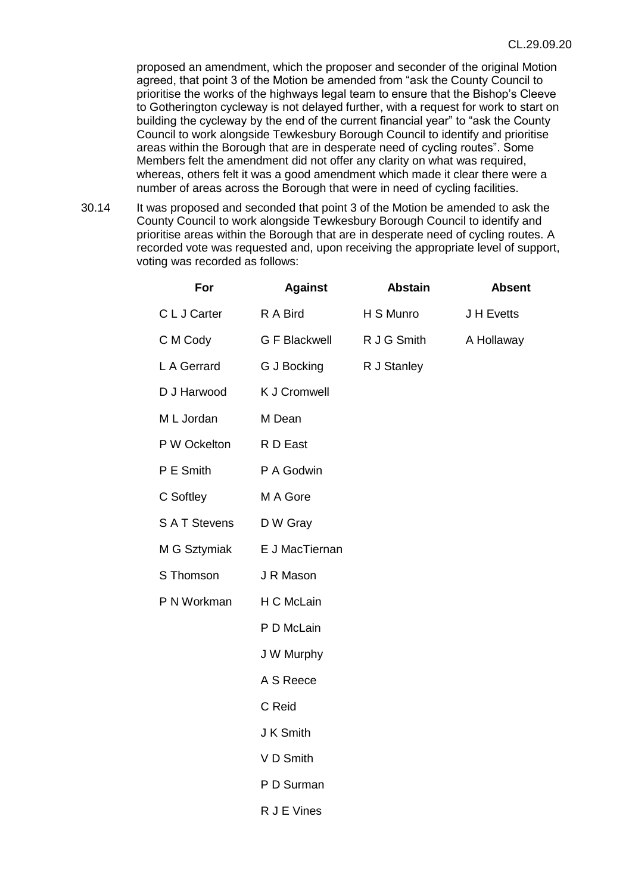proposed an amendment, which the proposer and seconder of the original Motion agreed, that point 3 of the Motion be amended from "ask the County Council to prioritise the works of the highways legal team to ensure that the Bishop's Cleeve to Gotherington cycleway is not delayed further, with a request for work to start on building the cycleway by the end of the current financial year" to "ask the County Council to work alongside Tewkesbury Borough Council to identify and prioritise areas within the Borough that are in desperate need of cycling routes". Some Members felt the amendment did not offer any clarity on what was required, whereas, others felt it was a good amendment which made it clear there were a number of areas across the Borough that were in need of cycling facilities.

30.14 It was proposed and seconded that point 3 of the Motion be amended to ask the County Council to work alongside Tewkesbury Borough Council to identify and prioritise areas within the Borough that are in desperate need of cycling routes. A recorded vote was requested and, upon receiving the appropriate level of support, voting was recorded as follows:

| For                | <b>Against</b>       | <b>Abstain</b> | <b>Absent</b> |
|--------------------|----------------------|----------------|---------------|
| C L J Carter       | R A Bird             | H S Munro      | J H Evetts    |
| C M Cody           | <b>G F Blackwell</b> | R J G Smith    | A Hollaway    |
| L A Gerrard        | G J Bocking          | R J Stanley    |               |
| D J Harwood        | <b>K J Cromwell</b>  |                |               |
| M L Jordan         | M Dean               |                |               |
| P W Ockelton       | R D East             |                |               |
| P E Smith          | P A Godwin           |                |               |
| C Softley          | M A Gore             |                |               |
| <b>SAT Stevens</b> | D W Gray             |                |               |
| M G Sztymiak       | E J MacTiernan       |                |               |
| S Thomson          | J R Mason            |                |               |
| P N Workman        | H C McLain           |                |               |
|                    | P D McLain           |                |               |
|                    | J W Murphy           |                |               |
|                    | A S Reece            |                |               |
|                    | C Reid               |                |               |
|                    | J K Smith            |                |               |
|                    | V D Smith            |                |               |
|                    | P D Surman           |                |               |
|                    | R J E Vines          |                |               |
|                    |                      |                |               |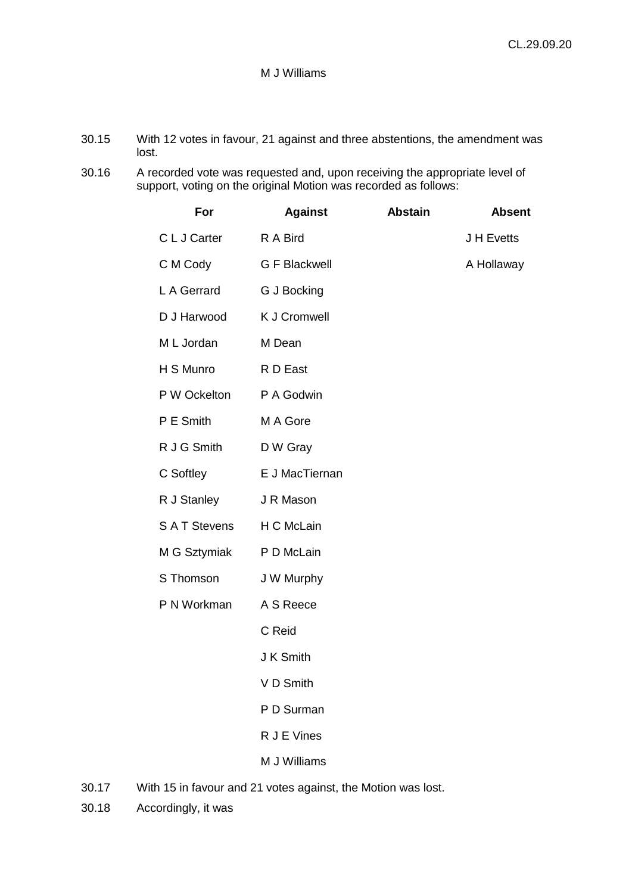## M J Williams

- 30.15 With 12 votes in favour, 21 against and three abstentions, the amendment was lost.
- 30.16 A recorded vote was requested and, upon receiving the appropriate level of support, voting on the original Motion was recorded as follows:

| <b>Against</b>       | <b>Abstain</b> | <b>Absent</b> |
|----------------------|----------------|---------------|
| R A Bird             |                | J H Evetts    |
| <b>G F Blackwell</b> |                | A Hollaway    |
| G J Bocking          |                |               |
| <b>K J Cromwell</b>  |                |               |
| M Dean               |                |               |
| R D East             |                |               |
| P A Godwin           |                |               |
| M A Gore             |                |               |
| D W Gray             |                |               |
| E J MacTiernan       |                |               |
| J R Mason            |                |               |
| H C McLain           |                |               |
| P D McLain           |                |               |
| J W Murphy           |                |               |
| A S Reece            |                |               |
| C Reid               |                |               |
| J K Smith            |                |               |
| VD Smith             |                |               |
| P D Surman           |                |               |
| R J E Vines          |                |               |
| M J Williams         |                |               |
|                      |                |               |

- 30.17 With 15 in favour and 21 votes against, the Motion was lost.
- 30.18 Accordingly, it was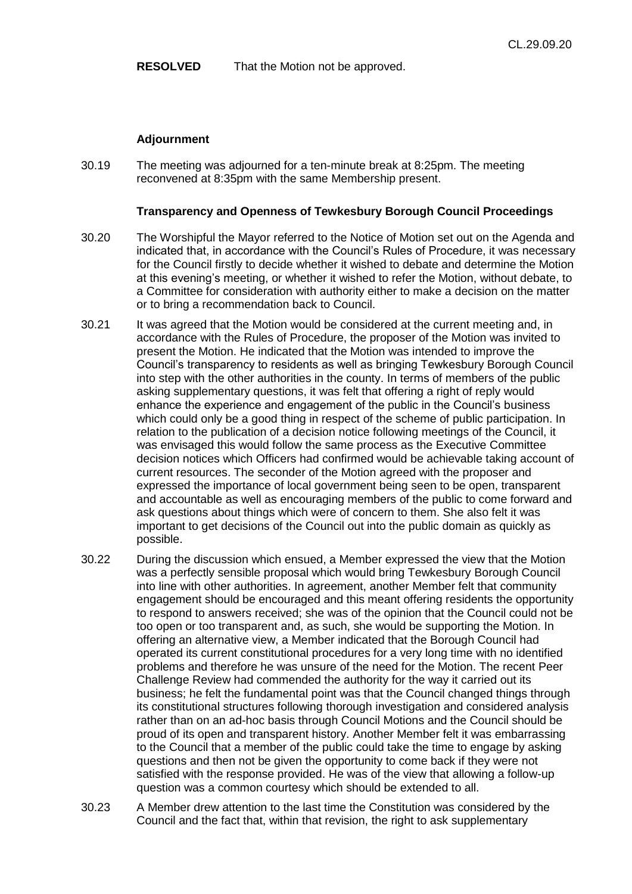**RESOLVED** That the Motion not be approved.

## **Adjournment**

30.19 The meeting was adjourned for a ten-minute break at 8:25pm. The meeting reconvened at 8:35pm with the same Membership present.

## **Transparency and Openness of Tewkesbury Borough Council Proceedings**

- 30.20 The Worshipful the Mayor referred to the Notice of Motion set out on the Agenda and indicated that, in accordance with the Council's Rules of Procedure, it was necessary for the Council firstly to decide whether it wished to debate and determine the Motion at this evening's meeting, or whether it wished to refer the Motion, without debate, to a Committee for consideration with authority either to make a decision on the matter or to bring a recommendation back to Council.
- 30.21 It was agreed that the Motion would be considered at the current meeting and, in accordance with the Rules of Procedure, the proposer of the Motion was invited to present the Motion. He indicated that the Motion was intended to improve the Council's transparency to residents as well as bringing Tewkesbury Borough Council into step with the other authorities in the county. In terms of members of the public asking supplementary questions, it was felt that offering a right of reply would enhance the experience and engagement of the public in the Council's business which could only be a good thing in respect of the scheme of public participation. In relation to the publication of a decision notice following meetings of the Council, it was envisaged this would follow the same process as the Executive Committee decision notices which Officers had confirmed would be achievable taking account of current resources. The seconder of the Motion agreed with the proposer and expressed the importance of local government being seen to be open, transparent and accountable as well as encouraging members of the public to come forward and ask questions about things which were of concern to them. She also felt it was important to get decisions of the Council out into the public domain as quickly as possible.
- 30.22 During the discussion which ensued, a Member expressed the view that the Motion was a perfectly sensible proposal which would bring Tewkesbury Borough Council into line with other authorities. In agreement, another Member felt that community engagement should be encouraged and this meant offering residents the opportunity to respond to answers received; she was of the opinion that the Council could not be too open or too transparent and, as such, she would be supporting the Motion. In offering an alternative view, a Member indicated that the Borough Council had operated its current constitutional procedures for a very long time with no identified problems and therefore he was unsure of the need for the Motion. The recent Peer Challenge Review had commended the authority for the way it carried out its business; he felt the fundamental point was that the Council changed things through its constitutional structures following thorough investigation and considered analysis rather than on an ad-hoc basis through Council Motions and the Council should be proud of its open and transparent history. Another Member felt it was embarrassing to the Council that a member of the public could take the time to engage by asking questions and then not be given the opportunity to come back if they were not satisfied with the response provided. He was of the view that allowing a follow-up question was a common courtesy which should be extended to all.
- 30.23 A Member drew attention to the last time the Constitution was considered by the Council and the fact that, within that revision, the right to ask supplementary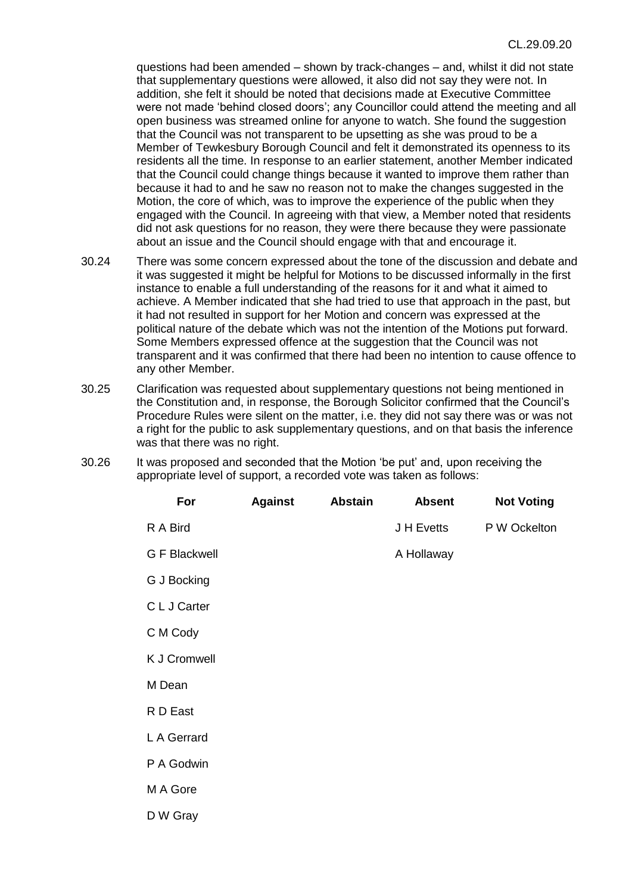questions had been amended – shown by track-changes – and, whilst it did not state that supplementary questions were allowed, it also did not say they were not. In addition, she felt it should be noted that decisions made at Executive Committee were not made 'behind closed doors'; any Councillor could attend the meeting and all open business was streamed online for anyone to watch. She found the suggestion that the Council was not transparent to be upsetting as she was proud to be a Member of Tewkesbury Borough Council and felt it demonstrated its openness to its residents all the time. In response to an earlier statement, another Member indicated that the Council could change things because it wanted to improve them rather than because it had to and he saw no reason not to make the changes suggested in the Motion, the core of which, was to improve the experience of the public when they engaged with the Council. In agreeing with that view, a Member noted that residents did not ask questions for no reason, they were there because they were passionate about an issue and the Council should engage with that and encourage it.

- 30.24 There was some concern expressed about the tone of the discussion and debate and it was suggested it might be helpful for Motions to be discussed informally in the first instance to enable a full understanding of the reasons for it and what it aimed to achieve. A Member indicated that she had tried to use that approach in the past, but it had not resulted in support for her Motion and concern was expressed at the political nature of the debate which was not the intention of the Motions put forward. Some Members expressed offence at the suggestion that the Council was not transparent and it was confirmed that there had been no intention to cause offence to any other Member.
- 30.25 Clarification was requested about supplementary questions not being mentioned in the Constitution and, in response, the Borough Solicitor confirmed that the Council's Procedure Rules were silent on the matter, i.e. they did not say there was or was not a right for the public to ask supplementary questions, and on that basis the inference was that there was no right.
- 30.26 It was proposed and seconded that the Motion 'be put' and, upon receiving the appropriate level of support, a recorded vote was taken as follows:

| For                  | <b>Against</b> | <b>Abstain</b> | <b>Absent</b> | <b>Not Voting</b> |
|----------------------|----------------|----------------|---------------|-------------------|
| R A Bird             |                |                | J H Evetts    | P W Ockelton      |
| <b>G F Blackwell</b> |                |                | A Hollaway    |                   |
| G J Bocking          |                |                |               |                   |
| C L J Carter         |                |                |               |                   |
| C M Cody             |                |                |               |                   |
| K J Cromwell         |                |                |               |                   |
| M Dean               |                |                |               |                   |
| R D East             |                |                |               |                   |
| L A Gerrard          |                |                |               |                   |
| P A Godwin           |                |                |               |                   |
| M A Gore             |                |                |               |                   |
| D W Gray             |                |                |               |                   |
|                      |                |                |               |                   |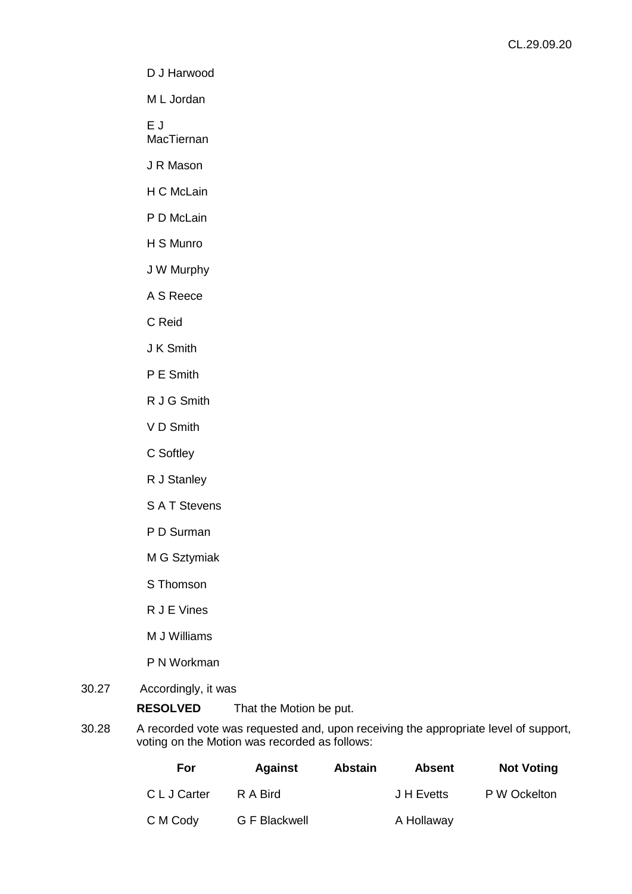D J Harwood

M L Jordan

E J

MacTiernan

J R Mason

H C McLain

P D McLain

H S Munro

J W Murphy

A S Reece

C Reid

J K Smith

P E Smith

R J G Smith

V D Smith

C Softley

R J Stanley

S A T Stevens

P D Surman

M G Sztymiak

S Thomson

R J E Vines

M J Williams

P N Workman

## 30.27 Accordingly, it was

**RESOLVED** That the Motion be put.

30.28 A recorded vote was requested and, upon receiving the appropriate level of support, voting on the Motion was recorded as follows:

| For          | <b>Against</b> | <b>Abstain</b> | <b>Absent</b> | <b>Not Voting</b> |
|--------------|----------------|----------------|---------------|-------------------|
| C L J Carter | R A Bird       |                | J H Evetts    | P W Ockelton      |
| C M Cody     | G F Blackwell  |                | A Hollaway    |                   |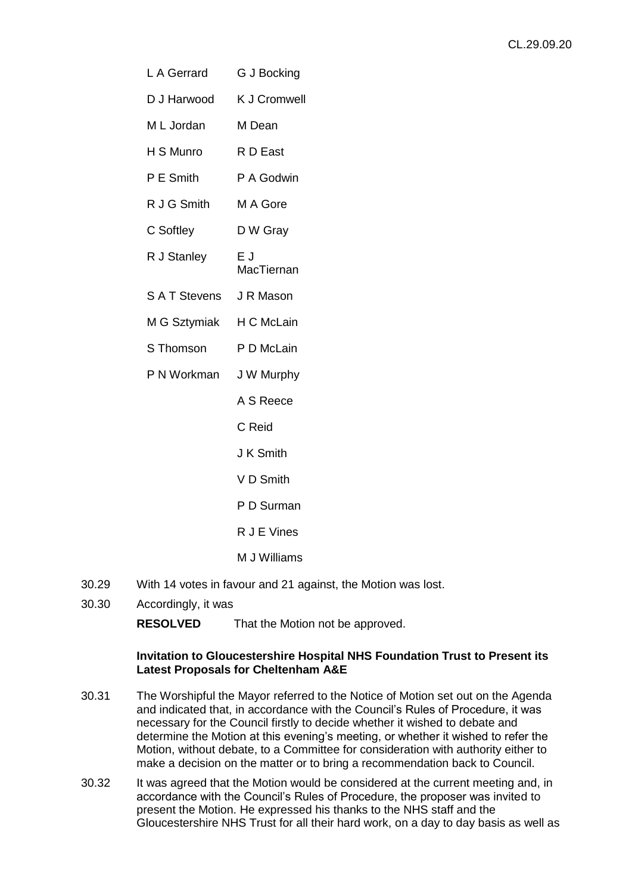| L A Gerrard             | G J Bocking         |  |  |
|-------------------------|---------------------|--|--|
| D J Harwood             | <b>K J Cromwell</b> |  |  |
| M L Jordan              | M Dean              |  |  |
| H S Munro               | R D East            |  |  |
| P E Smith               | P A Godwin          |  |  |
| R J G Smith             | M A Gore            |  |  |
| C Softley               | D W Gray            |  |  |
| R J Stanley             | ΕJ<br>MacTiernan    |  |  |
| S A T Stevens J R Mason |                     |  |  |
| M G Sztymiak            | H C McLain          |  |  |
| S Thomson               | P D McLain          |  |  |
| P N Workman             | J W Murphy          |  |  |
|                         | A S Reece           |  |  |
|                         | C Reid              |  |  |
|                         | J K Smith           |  |  |
|                         | V D Smith           |  |  |
|                         | P D Surman          |  |  |
|                         | R J E Vines         |  |  |
|                         | M J Williams        |  |  |
|                         |                     |  |  |

- 30.29 With 14 votes in favour and 21 against, the Motion was lost.
- 30.30 Accordingly, it was

**RESOLVED** That the Motion not be approved.

# **Invitation to Gloucestershire Hospital NHS Foundation Trust to Present its Latest Proposals for Cheltenham A&E**

- 30.31 The Worshipful the Mayor referred to the Notice of Motion set out on the Agenda and indicated that, in accordance with the Council's Rules of Procedure, it was necessary for the Council firstly to decide whether it wished to debate and determine the Motion at this evening's meeting, or whether it wished to refer the Motion, without debate, to a Committee for consideration with authority either to make a decision on the matter or to bring a recommendation back to Council.
- 30.32 It was agreed that the Motion would be considered at the current meeting and, in accordance with the Council's Rules of Procedure, the proposer was invited to present the Motion. He expressed his thanks to the NHS staff and the Gloucestershire NHS Trust for all their hard work, on a day to day basis as well as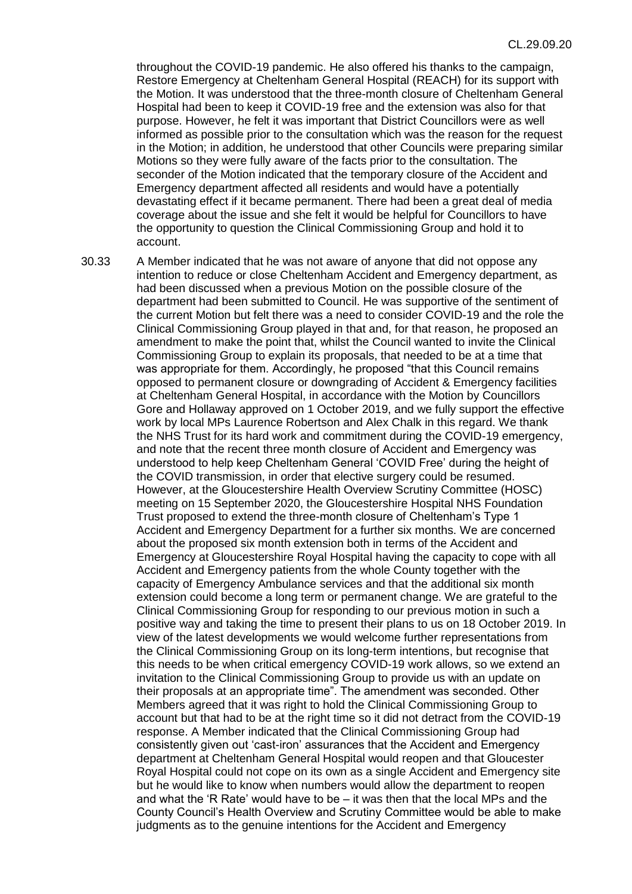throughout the COVID-19 pandemic. He also offered his thanks to the campaign, Restore Emergency at Cheltenham General Hospital (REACH) for its support with the Motion. It was understood that the three-month closure of Cheltenham General Hospital had been to keep it COVID-19 free and the extension was also for that purpose. However, he felt it was important that District Councillors were as well informed as possible prior to the consultation which was the reason for the request in the Motion; in addition, he understood that other Councils were preparing similar Motions so they were fully aware of the facts prior to the consultation. The seconder of the Motion indicated that the temporary closure of the Accident and Emergency department affected all residents and would have a potentially devastating effect if it became permanent. There had been a great deal of media coverage about the issue and she felt it would be helpful for Councillors to have the opportunity to question the Clinical Commissioning Group and hold it to account.

30.33 A Member indicated that he was not aware of anyone that did not oppose any intention to reduce or close Cheltenham Accident and Emergency department, as had been discussed when a previous Motion on the possible closure of the department had been submitted to Council. He was supportive of the sentiment of the current Motion but felt there was a need to consider COVID-19 and the role the Clinical Commissioning Group played in that and, for that reason, he proposed an amendment to make the point that, whilst the Council wanted to invite the Clinical Commissioning Group to explain its proposals, that needed to be at a time that was appropriate for them. Accordingly, he proposed "that this Council remains opposed to permanent closure or downgrading of Accident & Emergency facilities at Cheltenham General Hospital, in accordance with the Motion by Councillors Gore and Hollaway approved on 1 October 2019, and we fully support the effective work by local MPs Laurence Robertson and Alex Chalk in this regard. We thank the NHS Trust for its hard work and commitment during the COVID-19 emergency, and note that the recent three month closure of Accident and Emergency was understood to help keep Cheltenham General 'COVID Free' during the height of the COVID transmission, in order that elective surgery could be resumed. However, at the Gloucestershire Health Overview Scrutiny Committee (HOSC) meeting on 15 September 2020, the Gloucestershire Hospital NHS Foundation Trust proposed to extend the three-month closure of Cheltenham's Type 1 Accident and Emergency Department for a further six months. We are concerned about the proposed six month extension both in terms of the Accident and Emergency at Gloucestershire Royal Hospital having the capacity to cope with all Accident and Emergency patients from the whole County together with the capacity of Emergency Ambulance services and that the additional six month extension could become a long term or permanent change. We are grateful to the Clinical Commissioning Group for responding to our previous motion in such a positive way and taking the time to present their plans to us on 18 October 2019. In view of the latest developments we would welcome further representations from the Clinical Commissioning Group on its long-term intentions, but recognise that this needs to be when critical emergency COVID-19 work allows, so we extend an invitation to the Clinical Commissioning Group to provide us with an update on their proposals at an appropriate time". The amendment was seconded. Other Members agreed that it was right to hold the Clinical Commissioning Group to account but that had to be at the right time so it did not detract from the COVID-19 response. A Member indicated that the Clinical Commissioning Group had consistently given out 'cast-iron' assurances that the Accident and Emergency department at Cheltenham General Hospital would reopen and that Gloucester Royal Hospital could not cope on its own as a single Accident and Emergency site but he would like to know when numbers would allow the department to reopen and what the 'R Rate' would have to be  $-$  it was then that the local MPs and the County Council's Health Overview and Scrutiny Committee would be able to make judgments as to the genuine intentions for the Accident and Emergency